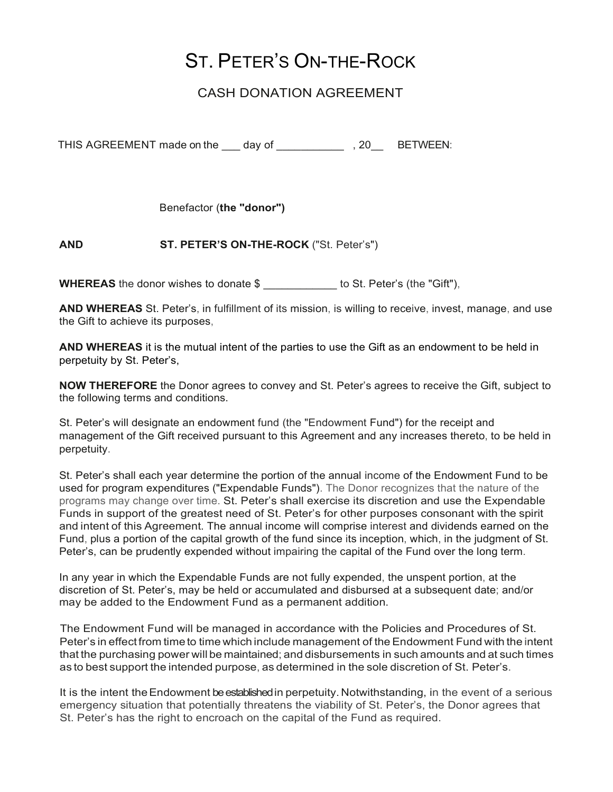## ST. PETER'S ON-THE-ROCK

## CASH DONATION AGREEMENT

THIS AGREEMENT made on the day of THIS AGREEMEN:

Benefactor (the "donor")

## AND ST. PETER'S ON-THE-ROCK ("St. Peter's")

WHEREAS the donor wishes to donate \$ to St. Peter's (the "Gift"),

AND WHEREAS St. Peter's, in fulfillment of its mission, is willing to receive, invest, manage, and use the Gift to achieve its purposes,

AND WHEREAS it is the mutual intent of the parties to use the Gift as an endowment to be held in perpetuity by St. Peter's,

NOW THEREFORE the Donor agrees to convey and St. Peter's agrees to receive the Gift, subject to the following terms and conditions.

St. Peter's will designate an endowment fund (the "Endowment Fund") for the receipt and management of the Gift received pursuant to this Agreement and any increases thereto, to be held in perpetuity.

St. Peter's shall each year determine the portion of the annual income of the Endowment Fund to be used for program expenditures ("Expendable Funds"). The Donor recognizes that the nature of the programs may change over time. St. Peter's shall exercise its discretion and use the Expendable Funds in support of the greatest need of St. Peter's for other purposes consonant with the spirit and intent of this Agreement. The annual income will comprise interest and dividends earned on the Fund, plus a portion of the capital growth of the fund since its inception, which, in the judgment of St. Peter's, can be prudently expended without impairing the capital of the Fund over the long term.

In any year in which the Expendable Funds are not fully expended, the unspent portion, at the discretion of St. Peter's, may be held or accumulated and disbursed at a subsequent date; and/or may be added to the Endowment Fund as a permanent addition.

The Endowment Fund will be managed in accordance with the Policies and Procedures of St. Peter's in effect from time to time which include management of the Endowment Fund with the intent that the purchasing power will be maintained; and disbursements in such amounts and at such times as to best support the intended purpose, as determined in the sole discretion of St. Peter's.

It is the intent the Endowment be established in perpetuity. Notwithstanding, in the event of a serious emergency situation that potentially threatens the viability of St. Peter's, the Donor agrees that St. Peter's has the right to encroach on the capital of the Fund as required.